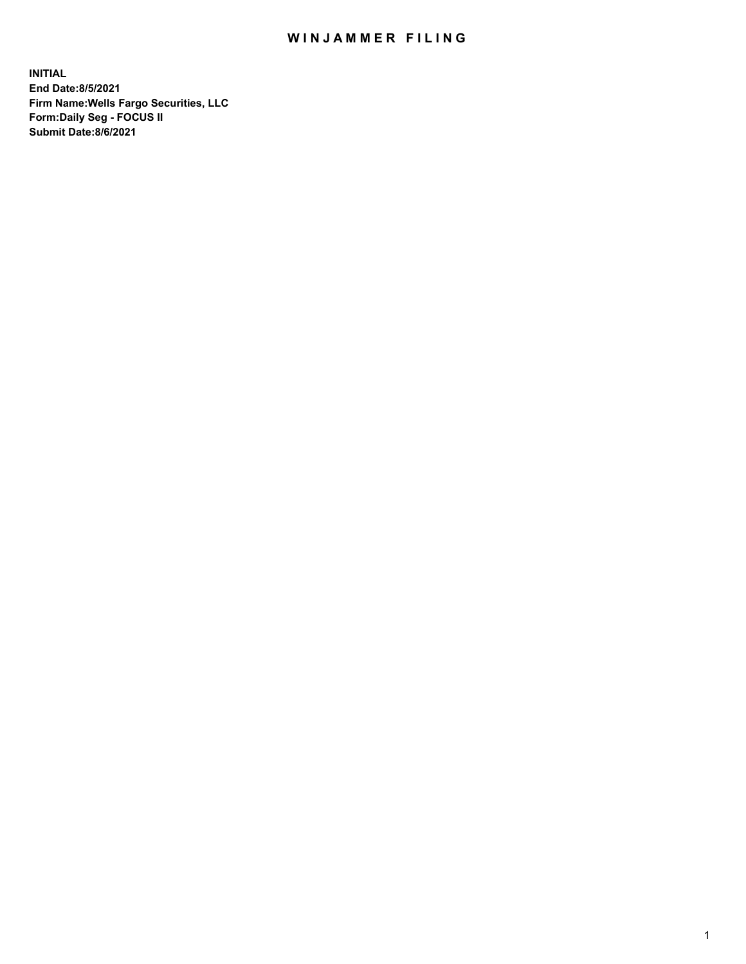## WIN JAMMER FILING

**INITIAL End Date:8/5/2021 Firm Name:Wells Fargo Securities, LLC Form:Daily Seg - FOCUS II Submit Date:8/6/2021**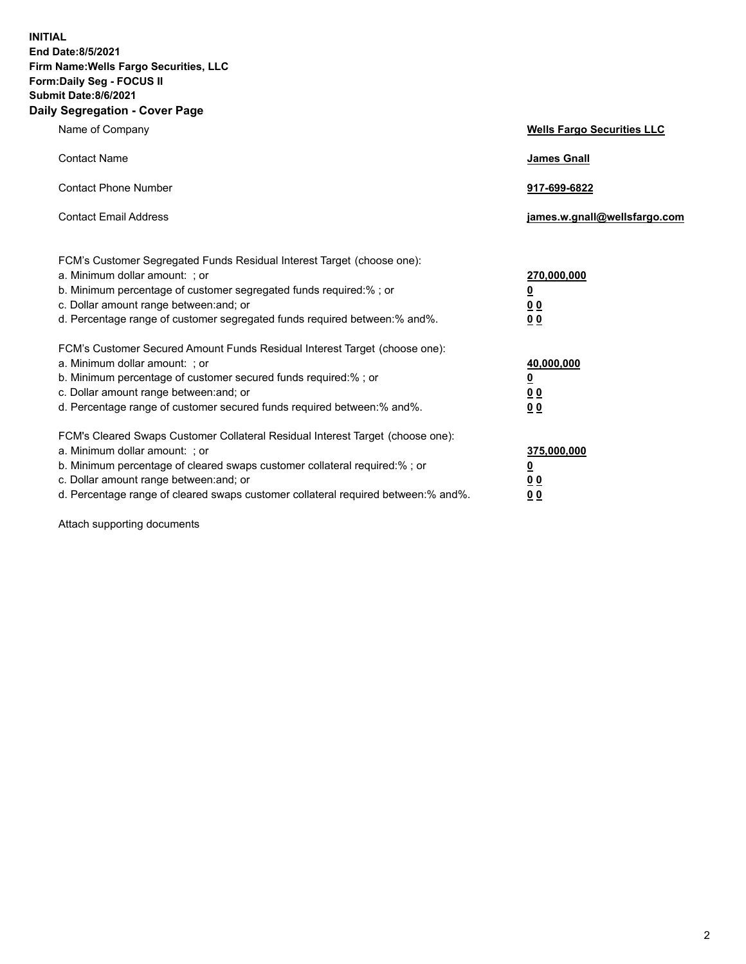**INITIAL End Date:8/5/2021 Firm Name:Wells Fargo Securities, LLC Form:Daily Seg - FOCUS II Submit Date:8/6/2021 Daily Segregation - Cover Page**

| Name of Company                                                                                                                                                                                                                                                                                                                | <b>Wells Fargo Securities LLC</b>                              |
|--------------------------------------------------------------------------------------------------------------------------------------------------------------------------------------------------------------------------------------------------------------------------------------------------------------------------------|----------------------------------------------------------------|
| <b>Contact Name</b>                                                                                                                                                                                                                                                                                                            | <b>James Gnall</b>                                             |
| <b>Contact Phone Number</b>                                                                                                                                                                                                                                                                                                    | 917-699-6822                                                   |
| <b>Contact Email Address</b>                                                                                                                                                                                                                                                                                                   | james.w.gnall@wellsfargo.com                                   |
| FCM's Customer Segregated Funds Residual Interest Target (choose one):<br>a. Minimum dollar amount: ; or<br>b. Minimum percentage of customer segregated funds required:% ; or<br>c. Dollar amount range between: and; or<br>d. Percentage range of customer segregated funds required between:% and%.                         | 270,000,000<br>$\overline{\mathbf{0}}$<br>0 <sub>0</sub><br>00 |
| FCM's Customer Secured Amount Funds Residual Interest Target (choose one):<br>a. Minimum dollar amount: ; or<br>b. Minimum percentage of customer secured funds required:% ; or<br>c. Dollar amount range between: and; or<br>d. Percentage range of customer secured funds required between:% and%.                           | 40,000,000<br><u>0</u><br>00<br>0 <sub>0</sub>                 |
| FCM's Cleared Swaps Customer Collateral Residual Interest Target (choose one):<br>a. Minimum dollar amount: ; or<br>b. Minimum percentage of cleared swaps customer collateral required:% ; or<br>c. Dollar amount range between: and; or<br>d. Percentage range of cleared swaps customer collateral required between:% and%. | 375,000,000<br><u>0</u><br>0 <sub>0</sub><br>00                |

Attach supporting documents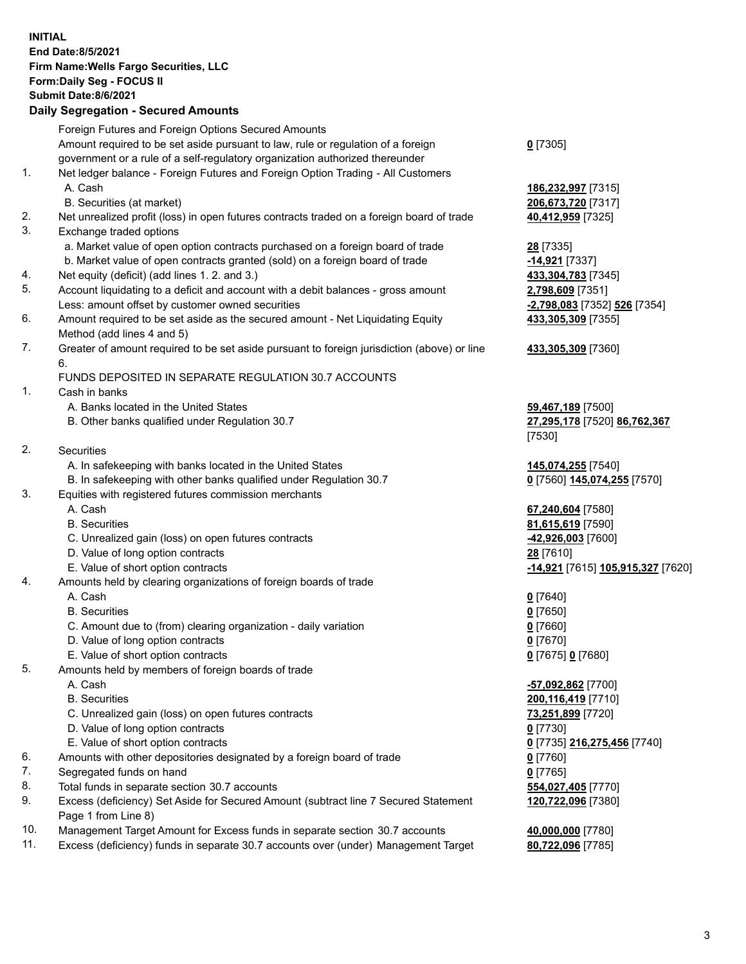**INITIAL End Date:8/5/2021 Firm Name:Wells Fargo Securities, LLC Form:Daily Seg - FOCUS II Submit Date:8/6/2021 Daily Segregation - Secured Amounts** Foreign Futures and Foreign Options Secured Amounts

Amount required to be set aside pursuant to law, rule or regulation of a foreign government or a rule of a self-regulatory organization authorized thereunder

- 1. Net ledger balance Foreign Futures and Foreign Option Trading All Customers A. Cash **186,232,997** [7315]
	- B. Securities (at market) **206,673,720** [7317]
- 2. Net unrealized profit (loss) in open futures contracts traded on a foreign board of trade **40,412,959** [7325]
- 3. Exchange traded options
	- a. Market value of open option contracts purchased on a foreign board of trade **28** [7335]
	- b. Market value of open contracts granted (sold) on a foreign board of trade **-14,921** [7337]
- 4. Net equity (deficit) (add lines 1. 2. and 3.) **433,304,783** [7345]
- 5. Account liquidating to a deficit and account with a debit balances gross amount **2,798,609** [7351] Less: amount offset by customer owned securities **-2,798,083** [7352] **526** [7354]
- 6. Amount required to be set aside as the secured amount Net Liquidating Equity Method (add lines 4 and 5)
- 7. Greater of amount required to be set aside pursuant to foreign jurisdiction (above) or line 6.

## FUNDS DEPOSITED IN SEPARATE REGULATION 30.7 ACCOUNTS

- 1. Cash in banks
	- A. Banks located in the United States **59,467,189** [7500]
	- B. Other banks qualified under Regulation 30.7 **27,295,178** [7520] **86,762,367**
- 2. Securities
	- A. In safekeeping with banks located in the United States **145,074,255** [7540]
- B. In safekeeping with other banks qualified under Regulation 30.7 **0** [7560] **145,074,255** [7570]
- 3. Equities with registered futures commission merchants
	-
	-
	- C. Unrealized gain (loss) on open futures contracts **-42,926,003** [7600]
	- D. Value of long option contracts **28** [7610]
	-
- 4. Amounts held by clearing organizations of foreign boards of trade
	- A. Cash **0** [7640]
	- B. Securities **0** [7650]
	- C. Amount due to (from) clearing organization daily variation **0** [7660]
	- D. Value of long option contracts **0** [7670]
	- E. Value of short option contracts **0** [7675] **0** [7680]
- 5. Amounts held by members of foreign boards of trade
	-
	-
	- C. Unrealized gain (loss) on open futures contracts **73,251,899** [7720]
	- D. Value of long option contracts **0** [7730]
	- E. Value of short option contracts **0** [7735] **216,275,456** [7740]
- 6. Amounts with other depositories designated by a foreign board of trade **0** [7760]
- 7. Segregated funds on hand **0** [7765]
- 8. Total funds in separate section 30.7 accounts **554,027,405** [7770]
- 9. Excess (deficiency) Set Aside for Secured Amount (subtract line 7 Secured Statement Page 1 from Line 8)
- 10. Management Target Amount for Excess funds in separate section 30.7 accounts **40,000,000** [7780]
- 11. Excess (deficiency) funds in separate 30.7 accounts over (under) Management Target **80,722,096** [7785]

**0** [7305]

**433,305,309** [7355]

## **433,305,309** [7360]

[7530]

 A. Cash **67,240,604** [7580] B. Securities **81,615,619** [7590] E. Value of short option contracts **-14,921** [7615] **105,915,327** [7620]

 A. Cash **-57,092,862** [7700] B. Securities **200,116,419** [7710] **120,722,096** [7380]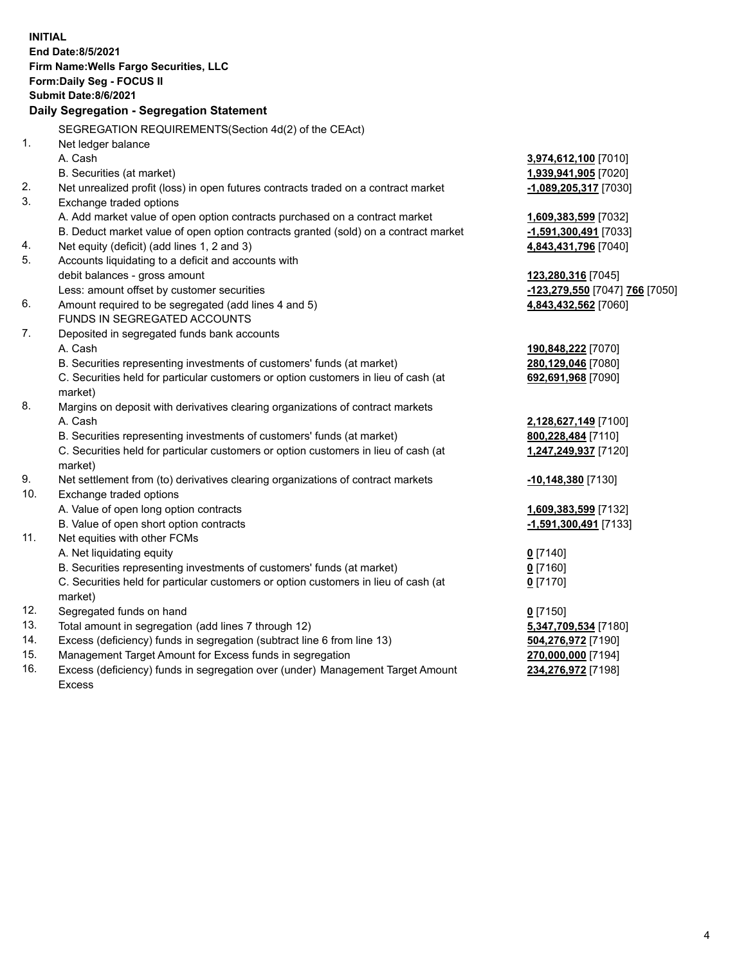| <b>End Date:8/5/2021</b><br>Firm Name: Wells Fargo Securities, LLC<br>Form: Daily Seg - FOCUS II<br><b>Submit Date:8/6/2021</b><br>Daily Segregation - Segregation Statement<br>SEGREGATION REQUIREMENTS(Section 4d(2) of the CEAct)<br>1.<br>Net ledger balance<br>A. Cash<br>3,974,612,100 [7010]<br>B. Securities (at market)<br>1,939,941,905 [7020]<br>Net unrealized profit (loss) in open futures contracts traded on a contract market<br>-1,089,205,317 [7030]<br>3.<br>Exchange traded options<br>A. Add market value of open option contracts purchased on a contract market<br>1,609,383,599 [7032]<br>B. Deduct market value of open option contracts granted (sold) on a contract market<br>-1,591,300,491 [7033]<br>Net equity (deficit) (add lines 1, 2 and 3)<br>4,843,431,796 [7040]<br>5.<br>Accounts liquidating to a deficit and accounts with<br>debit balances - gross amount<br>123,280,316 [7045]<br>Less: amount offset by customer securities<br>-123,279,550 [7047] 766 [7050]<br>Amount required to be segregated (add lines 4 and 5)<br>4,843,432,562 [7060]<br>FUNDS IN SEGREGATED ACCOUNTS<br>7.<br>Deposited in segregated funds bank accounts<br>A. Cash<br>190,848,222 [7070]<br>B. Securities representing investments of customers' funds (at market)<br>280,129,046 [7080]<br>C. Securities held for particular customers or option customers in lieu of cash (at<br>692,691,968 [7090]<br>market)<br>8.<br>Margins on deposit with derivatives clearing organizations of contract markets<br>A. Cash<br>2,128,627,149 [7100]<br>B. Securities representing investments of customers' funds (at market)<br>800,228,484 [7110]<br>C. Securities held for particular customers or option customers in lieu of cash (at<br>1,247,249,937 [7120]<br>market)<br>9.<br>Net settlement from (to) derivatives clearing organizations of contract markets<br>-10,148,380 [7130]<br>10.<br>Exchange traded options<br>A. Value of open long option contracts<br>1,609,383,599 [7132]<br>B. Value of open short option contracts<br>-1,591,300,491 [7133]<br>Net equities with other FCMs<br>11.<br>A. Net liquidating equity<br>$0$ [7140]<br>B. Securities representing investments of customers' funds (at market)<br>$0$ [7160]<br>C. Securities held for particular customers or option customers in lieu of cash (at<br>$0$ [7170]<br>market)<br>12.<br>Segregated funds on hand<br>$0$ [7150]<br>13.<br>Total amount in segregation (add lines 7 through 12)<br>5,347,709,534 [7180]<br>14.<br>Excess (deficiency) funds in segregation (subtract line 6 from line 13)<br>504,276,972 [7190]<br>15.<br>Management Target Amount for Excess funds in segregation<br>270,000,000 [7194]<br>16.<br>Excess (deficiency) funds in segregation over (under) Management Target Amount<br>234,276,972 [7198]<br>Excess |    | <b>INITIAL</b> |  |
|--------------------------------------------------------------------------------------------------------------------------------------------------------------------------------------------------------------------------------------------------------------------------------------------------------------------------------------------------------------------------------------------------------------------------------------------------------------------------------------------------------------------------------------------------------------------------------------------------------------------------------------------------------------------------------------------------------------------------------------------------------------------------------------------------------------------------------------------------------------------------------------------------------------------------------------------------------------------------------------------------------------------------------------------------------------------------------------------------------------------------------------------------------------------------------------------------------------------------------------------------------------------------------------------------------------------------------------------------------------------------------------------------------------------------------------------------------------------------------------------------------------------------------------------------------------------------------------------------------------------------------------------------------------------------------------------------------------------------------------------------------------------------------------------------------------------------------------------------------------------------------------------------------------------------------------------------------------------------------------------------------------------------------------------------------------------------------------------------------------------------------------------------------------------------------------------------------------------------------------------------------------------------------------------------------------------------------------------------------------------------------------------------------------------------------------------------------------------------------------------------------------------------------------------------------------------------------------------------------------------------------------------------------------------------------------------------------------------------------------------------------------------------------------------------------------------------------------------------|----|----------------|--|
|                                                                                                                                                                                                                                                                                                                                                                                                                                                                                                                                                                                                                                                                                                                                                                                                                                                                                                                                                                                                                                                                                                                                                                                                                                                                                                                                                                                                                                                                                                                                                                                                                                                                                                                                                                                                                                                                                                                                                                                                                                                                                                                                                                                                                                                                                                                                                                                                                                                                                                                                                                                                                                                                                                                                                                                                                                                  |    |                |  |
|                                                                                                                                                                                                                                                                                                                                                                                                                                                                                                                                                                                                                                                                                                                                                                                                                                                                                                                                                                                                                                                                                                                                                                                                                                                                                                                                                                                                                                                                                                                                                                                                                                                                                                                                                                                                                                                                                                                                                                                                                                                                                                                                                                                                                                                                                                                                                                                                                                                                                                                                                                                                                                                                                                                                                                                                                                                  |    |                |  |
|                                                                                                                                                                                                                                                                                                                                                                                                                                                                                                                                                                                                                                                                                                                                                                                                                                                                                                                                                                                                                                                                                                                                                                                                                                                                                                                                                                                                                                                                                                                                                                                                                                                                                                                                                                                                                                                                                                                                                                                                                                                                                                                                                                                                                                                                                                                                                                                                                                                                                                                                                                                                                                                                                                                                                                                                                                                  |    |                |  |
|                                                                                                                                                                                                                                                                                                                                                                                                                                                                                                                                                                                                                                                                                                                                                                                                                                                                                                                                                                                                                                                                                                                                                                                                                                                                                                                                                                                                                                                                                                                                                                                                                                                                                                                                                                                                                                                                                                                                                                                                                                                                                                                                                                                                                                                                                                                                                                                                                                                                                                                                                                                                                                                                                                                                                                                                                                                  |    |                |  |
|                                                                                                                                                                                                                                                                                                                                                                                                                                                                                                                                                                                                                                                                                                                                                                                                                                                                                                                                                                                                                                                                                                                                                                                                                                                                                                                                                                                                                                                                                                                                                                                                                                                                                                                                                                                                                                                                                                                                                                                                                                                                                                                                                                                                                                                                                                                                                                                                                                                                                                                                                                                                                                                                                                                                                                                                                                                  |    |                |  |
|                                                                                                                                                                                                                                                                                                                                                                                                                                                                                                                                                                                                                                                                                                                                                                                                                                                                                                                                                                                                                                                                                                                                                                                                                                                                                                                                                                                                                                                                                                                                                                                                                                                                                                                                                                                                                                                                                                                                                                                                                                                                                                                                                                                                                                                                                                                                                                                                                                                                                                                                                                                                                                                                                                                                                                                                                                                  |    |                |  |
|                                                                                                                                                                                                                                                                                                                                                                                                                                                                                                                                                                                                                                                                                                                                                                                                                                                                                                                                                                                                                                                                                                                                                                                                                                                                                                                                                                                                                                                                                                                                                                                                                                                                                                                                                                                                                                                                                                                                                                                                                                                                                                                                                                                                                                                                                                                                                                                                                                                                                                                                                                                                                                                                                                                                                                                                                                                  |    |                |  |
|                                                                                                                                                                                                                                                                                                                                                                                                                                                                                                                                                                                                                                                                                                                                                                                                                                                                                                                                                                                                                                                                                                                                                                                                                                                                                                                                                                                                                                                                                                                                                                                                                                                                                                                                                                                                                                                                                                                                                                                                                                                                                                                                                                                                                                                                                                                                                                                                                                                                                                                                                                                                                                                                                                                                                                                                                                                  |    |                |  |
|                                                                                                                                                                                                                                                                                                                                                                                                                                                                                                                                                                                                                                                                                                                                                                                                                                                                                                                                                                                                                                                                                                                                                                                                                                                                                                                                                                                                                                                                                                                                                                                                                                                                                                                                                                                                                                                                                                                                                                                                                                                                                                                                                                                                                                                                                                                                                                                                                                                                                                                                                                                                                                                                                                                                                                                                                                                  |    |                |  |
|                                                                                                                                                                                                                                                                                                                                                                                                                                                                                                                                                                                                                                                                                                                                                                                                                                                                                                                                                                                                                                                                                                                                                                                                                                                                                                                                                                                                                                                                                                                                                                                                                                                                                                                                                                                                                                                                                                                                                                                                                                                                                                                                                                                                                                                                                                                                                                                                                                                                                                                                                                                                                                                                                                                                                                                                                                                  | 2. |                |  |
|                                                                                                                                                                                                                                                                                                                                                                                                                                                                                                                                                                                                                                                                                                                                                                                                                                                                                                                                                                                                                                                                                                                                                                                                                                                                                                                                                                                                                                                                                                                                                                                                                                                                                                                                                                                                                                                                                                                                                                                                                                                                                                                                                                                                                                                                                                                                                                                                                                                                                                                                                                                                                                                                                                                                                                                                                                                  |    |                |  |
|                                                                                                                                                                                                                                                                                                                                                                                                                                                                                                                                                                                                                                                                                                                                                                                                                                                                                                                                                                                                                                                                                                                                                                                                                                                                                                                                                                                                                                                                                                                                                                                                                                                                                                                                                                                                                                                                                                                                                                                                                                                                                                                                                                                                                                                                                                                                                                                                                                                                                                                                                                                                                                                                                                                                                                                                                                                  |    |                |  |
|                                                                                                                                                                                                                                                                                                                                                                                                                                                                                                                                                                                                                                                                                                                                                                                                                                                                                                                                                                                                                                                                                                                                                                                                                                                                                                                                                                                                                                                                                                                                                                                                                                                                                                                                                                                                                                                                                                                                                                                                                                                                                                                                                                                                                                                                                                                                                                                                                                                                                                                                                                                                                                                                                                                                                                                                                                                  |    |                |  |
|                                                                                                                                                                                                                                                                                                                                                                                                                                                                                                                                                                                                                                                                                                                                                                                                                                                                                                                                                                                                                                                                                                                                                                                                                                                                                                                                                                                                                                                                                                                                                                                                                                                                                                                                                                                                                                                                                                                                                                                                                                                                                                                                                                                                                                                                                                                                                                                                                                                                                                                                                                                                                                                                                                                                                                                                                                                  | 4. |                |  |
|                                                                                                                                                                                                                                                                                                                                                                                                                                                                                                                                                                                                                                                                                                                                                                                                                                                                                                                                                                                                                                                                                                                                                                                                                                                                                                                                                                                                                                                                                                                                                                                                                                                                                                                                                                                                                                                                                                                                                                                                                                                                                                                                                                                                                                                                                                                                                                                                                                                                                                                                                                                                                                                                                                                                                                                                                                                  |    |                |  |
|                                                                                                                                                                                                                                                                                                                                                                                                                                                                                                                                                                                                                                                                                                                                                                                                                                                                                                                                                                                                                                                                                                                                                                                                                                                                                                                                                                                                                                                                                                                                                                                                                                                                                                                                                                                                                                                                                                                                                                                                                                                                                                                                                                                                                                                                                                                                                                                                                                                                                                                                                                                                                                                                                                                                                                                                                                                  |    |                |  |
|                                                                                                                                                                                                                                                                                                                                                                                                                                                                                                                                                                                                                                                                                                                                                                                                                                                                                                                                                                                                                                                                                                                                                                                                                                                                                                                                                                                                                                                                                                                                                                                                                                                                                                                                                                                                                                                                                                                                                                                                                                                                                                                                                                                                                                                                                                                                                                                                                                                                                                                                                                                                                                                                                                                                                                                                                                                  |    |                |  |
|                                                                                                                                                                                                                                                                                                                                                                                                                                                                                                                                                                                                                                                                                                                                                                                                                                                                                                                                                                                                                                                                                                                                                                                                                                                                                                                                                                                                                                                                                                                                                                                                                                                                                                                                                                                                                                                                                                                                                                                                                                                                                                                                                                                                                                                                                                                                                                                                                                                                                                                                                                                                                                                                                                                                                                                                                                                  | 6. |                |  |
|                                                                                                                                                                                                                                                                                                                                                                                                                                                                                                                                                                                                                                                                                                                                                                                                                                                                                                                                                                                                                                                                                                                                                                                                                                                                                                                                                                                                                                                                                                                                                                                                                                                                                                                                                                                                                                                                                                                                                                                                                                                                                                                                                                                                                                                                                                                                                                                                                                                                                                                                                                                                                                                                                                                                                                                                                                                  |    |                |  |
|                                                                                                                                                                                                                                                                                                                                                                                                                                                                                                                                                                                                                                                                                                                                                                                                                                                                                                                                                                                                                                                                                                                                                                                                                                                                                                                                                                                                                                                                                                                                                                                                                                                                                                                                                                                                                                                                                                                                                                                                                                                                                                                                                                                                                                                                                                                                                                                                                                                                                                                                                                                                                                                                                                                                                                                                                                                  |    |                |  |
|                                                                                                                                                                                                                                                                                                                                                                                                                                                                                                                                                                                                                                                                                                                                                                                                                                                                                                                                                                                                                                                                                                                                                                                                                                                                                                                                                                                                                                                                                                                                                                                                                                                                                                                                                                                                                                                                                                                                                                                                                                                                                                                                                                                                                                                                                                                                                                                                                                                                                                                                                                                                                                                                                                                                                                                                                                                  |    |                |  |
|                                                                                                                                                                                                                                                                                                                                                                                                                                                                                                                                                                                                                                                                                                                                                                                                                                                                                                                                                                                                                                                                                                                                                                                                                                                                                                                                                                                                                                                                                                                                                                                                                                                                                                                                                                                                                                                                                                                                                                                                                                                                                                                                                                                                                                                                                                                                                                                                                                                                                                                                                                                                                                                                                                                                                                                                                                                  |    |                |  |
|                                                                                                                                                                                                                                                                                                                                                                                                                                                                                                                                                                                                                                                                                                                                                                                                                                                                                                                                                                                                                                                                                                                                                                                                                                                                                                                                                                                                                                                                                                                                                                                                                                                                                                                                                                                                                                                                                                                                                                                                                                                                                                                                                                                                                                                                                                                                                                                                                                                                                                                                                                                                                                                                                                                                                                                                                                                  |    |                |  |
|                                                                                                                                                                                                                                                                                                                                                                                                                                                                                                                                                                                                                                                                                                                                                                                                                                                                                                                                                                                                                                                                                                                                                                                                                                                                                                                                                                                                                                                                                                                                                                                                                                                                                                                                                                                                                                                                                                                                                                                                                                                                                                                                                                                                                                                                                                                                                                                                                                                                                                                                                                                                                                                                                                                                                                                                                                                  |    |                |  |
|                                                                                                                                                                                                                                                                                                                                                                                                                                                                                                                                                                                                                                                                                                                                                                                                                                                                                                                                                                                                                                                                                                                                                                                                                                                                                                                                                                                                                                                                                                                                                                                                                                                                                                                                                                                                                                                                                                                                                                                                                                                                                                                                                                                                                                                                                                                                                                                                                                                                                                                                                                                                                                                                                                                                                                                                                                                  |    |                |  |
|                                                                                                                                                                                                                                                                                                                                                                                                                                                                                                                                                                                                                                                                                                                                                                                                                                                                                                                                                                                                                                                                                                                                                                                                                                                                                                                                                                                                                                                                                                                                                                                                                                                                                                                                                                                                                                                                                                                                                                                                                                                                                                                                                                                                                                                                                                                                                                                                                                                                                                                                                                                                                                                                                                                                                                                                                                                  |    |                |  |
|                                                                                                                                                                                                                                                                                                                                                                                                                                                                                                                                                                                                                                                                                                                                                                                                                                                                                                                                                                                                                                                                                                                                                                                                                                                                                                                                                                                                                                                                                                                                                                                                                                                                                                                                                                                                                                                                                                                                                                                                                                                                                                                                                                                                                                                                                                                                                                                                                                                                                                                                                                                                                                                                                                                                                                                                                                                  |    |                |  |
|                                                                                                                                                                                                                                                                                                                                                                                                                                                                                                                                                                                                                                                                                                                                                                                                                                                                                                                                                                                                                                                                                                                                                                                                                                                                                                                                                                                                                                                                                                                                                                                                                                                                                                                                                                                                                                                                                                                                                                                                                                                                                                                                                                                                                                                                                                                                                                                                                                                                                                                                                                                                                                                                                                                                                                                                                                                  |    |                |  |
|                                                                                                                                                                                                                                                                                                                                                                                                                                                                                                                                                                                                                                                                                                                                                                                                                                                                                                                                                                                                                                                                                                                                                                                                                                                                                                                                                                                                                                                                                                                                                                                                                                                                                                                                                                                                                                                                                                                                                                                                                                                                                                                                                                                                                                                                                                                                                                                                                                                                                                                                                                                                                                                                                                                                                                                                                                                  |    |                |  |
|                                                                                                                                                                                                                                                                                                                                                                                                                                                                                                                                                                                                                                                                                                                                                                                                                                                                                                                                                                                                                                                                                                                                                                                                                                                                                                                                                                                                                                                                                                                                                                                                                                                                                                                                                                                                                                                                                                                                                                                                                                                                                                                                                                                                                                                                                                                                                                                                                                                                                                                                                                                                                                                                                                                                                                                                                                                  |    |                |  |
|                                                                                                                                                                                                                                                                                                                                                                                                                                                                                                                                                                                                                                                                                                                                                                                                                                                                                                                                                                                                                                                                                                                                                                                                                                                                                                                                                                                                                                                                                                                                                                                                                                                                                                                                                                                                                                                                                                                                                                                                                                                                                                                                                                                                                                                                                                                                                                                                                                                                                                                                                                                                                                                                                                                                                                                                                                                  |    |                |  |
|                                                                                                                                                                                                                                                                                                                                                                                                                                                                                                                                                                                                                                                                                                                                                                                                                                                                                                                                                                                                                                                                                                                                                                                                                                                                                                                                                                                                                                                                                                                                                                                                                                                                                                                                                                                                                                                                                                                                                                                                                                                                                                                                                                                                                                                                                                                                                                                                                                                                                                                                                                                                                                                                                                                                                                                                                                                  |    |                |  |
|                                                                                                                                                                                                                                                                                                                                                                                                                                                                                                                                                                                                                                                                                                                                                                                                                                                                                                                                                                                                                                                                                                                                                                                                                                                                                                                                                                                                                                                                                                                                                                                                                                                                                                                                                                                                                                                                                                                                                                                                                                                                                                                                                                                                                                                                                                                                                                                                                                                                                                                                                                                                                                                                                                                                                                                                                                                  |    |                |  |
|                                                                                                                                                                                                                                                                                                                                                                                                                                                                                                                                                                                                                                                                                                                                                                                                                                                                                                                                                                                                                                                                                                                                                                                                                                                                                                                                                                                                                                                                                                                                                                                                                                                                                                                                                                                                                                                                                                                                                                                                                                                                                                                                                                                                                                                                                                                                                                                                                                                                                                                                                                                                                                                                                                                                                                                                                                                  |    |                |  |
|                                                                                                                                                                                                                                                                                                                                                                                                                                                                                                                                                                                                                                                                                                                                                                                                                                                                                                                                                                                                                                                                                                                                                                                                                                                                                                                                                                                                                                                                                                                                                                                                                                                                                                                                                                                                                                                                                                                                                                                                                                                                                                                                                                                                                                                                                                                                                                                                                                                                                                                                                                                                                                                                                                                                                                                                                                                  |    |                |  |
|                                                                                                                                                                                                                                                                                                                                                                                                                                                                                                                                                                                                                                                                                                                                                                                                                                                                                                                                                                                                                                                                                                                                                                                                                                                                                                                                                                                                                                                                                                                                                                                                                                                                                                                                                                                                                                                                                                                                                                                                                                                                                                                                                                                                                                                                                                                                                                                                                                                                                                                                                                                                                                                                                                                                                                                                                                                  |    |                |  |
|                                                                                                                                                                                                                                                                                                                                                                                                                                                                                                                                                                                                                                                                                                                                                                                                                                                                                                                                                                                                                                                                                                                                                                                                                                                                                                                                                                                                                                                                                                                                                                                                                                                                                                                                                                                                                                                                                                                                                                                                                                                                                                                                                                                                                                                                                                                                                                                                                                                                                                                                                                                                                                                                                                                                                                                                                                                  |    |                |  |
|                                                                                                                                                                                                                                                                                                                                                                                                                                                                                                                                                                                                                                                                                                                                                                                                                                                                                                                                                                                                                                                                                                                                                                                                                                                                                                                                                                                                                                                                                                                                                                                                                                                                                                                                                                                                                                                                                                                                                                                                                                                                                                                                                                                                                                                                                                                                                                                                                                                                                                                                                                                                                                                                                                                                                                                                                                                  |    |                |  |
|                                                                                                                                                                                                                                                                                                                                                                                                                                                                                                                                                                                                                                                                                                                                                                                                                                                                                                                                                                                                                                                                                                                                                                                                                                                                                                                                                                                                                                                                                                                                                                                                                                                                                                                                                                                                                                                                                                                                                                                                                                                                                                                                                                                                                                                                                                                                                                                                                                                                                                                                                                                                                                                                                                                                                                                                                                                  |    |                |  |
|                                                                                                                                                                                                                                                                                                                                                                                                                                                                                                                                                                                                                                                                                                                                                                                                                                                                                                                                                                                                                                                                                                                                                                                                                                                                                                                                                                                                                                                                                                                                                                                                                                                                                                                                                                                                                                                                                                                                                                                                                                                                                                                                                                                                                                                                                                                                                                                                                                                                                                                                                                                                                                                                                                                                                                                                                                                  |    |                |  |
|                                                                                                                                                                                                                                                                                                                                                                                                                                                                                                                                                                                                                                                                                                                                                                                                                                                                                                                                                                                                                                                                                                                                                                                                                                                                                                                                                                                                                                                                                                                                                                                                                                                                                                                                                                                                                                                                                                                                                                                                                                                                                                                                                                                                                                                                                                                                                                                                                                                                                                                                                                                                                                                                                                                                                                                                                                                  |    |                |  |
|                                                                                                                                                                                                                                                                                                                                                                                                                                                                                                                                                                                                                                                                                                                                                                                                                                                                                                                                                                                                                                                                                                                                                                                                                                                                                                                                                                                                                                                                                                                                                                                                                                                                                                                                                                                                                                                                                                                                                                                                                                                                                                                                                                                                                                                                                                                                                                                                                                                                                                                                                                                                                                                                                                                                                                                                                                                  |    |                |  |
|                                                                                                                                                                                                                                                                                                                                                                                                                                                                                                                                                                                                                                                                                                                                                                                                                                                                                                                                                                                                                                                                                                                                                                                                                                                                                                                                                                                                                                                                                                                                                                                                                                                                                                                                                                                                                                                                                                                                                                                                                                                                                                                                                                                                                                                                                                                                                                                                                                                                                                                                                                                                                                                                                                                                                                                                                                                  |    |                |  |